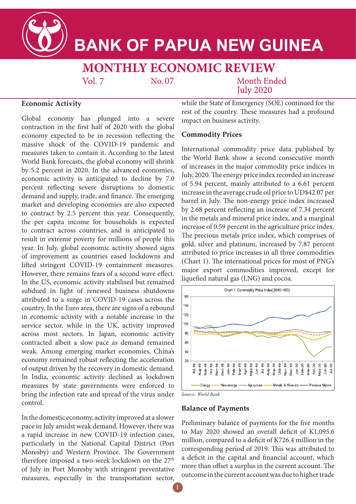

# **BANK OF PAPUA NEW GUINEA**

# **MONTHLY ECONOMIC REVIEW**

No.07

**Month Ended July 2020** 

#### **Economic Activity**

Global economy has plunged into a severe contraction in the first half of 2020 with the global economy expected to be in recession reflecting the massive shock of the COVID-19 pandemic and measures taken to contain it. According to the latest World Bank forecasts, the global economy will shrink by 5.2 percent in 2020. In the advanced economies, economic activity is anticipated to decline by 7.0 percent reflecting severe disruptions to domestic demand and supply, trade, and finance. The emerging market and developing economies are also expected to contract by 2.5 percent this year. Consequently, the per capita income for households is expected to contract across countries, and is anticipated to result in extreme poverty for millions of people this year. In July, global economic activity showed signs of improvement as countries eased lockdowns and lifted stringent COVID-19 containment measures. However, there remains fears of a second wave effect. In the US, economic activity stabilised but remained subdued in light of renewed business shutdowns attributed to a surge in COVID-19 cases across the country. In the Euro area, there are signs of a rebound in economic activity with a notable increase in the service sector, while in the UK, activity improved across most sectors. In Japan, economic activity contracted albeit a slow pace as demand remained weak. Among emerging market economies, China's economy remained robust reflecting the acceleration of output driven by the recovery in domestic demand. In India, economic activity declined as lockdown measures by state governments were enforced to bring the infection rate and spread of the virus under control.

 $Vol. 7$ 

In the domestic economy, activity improved at a slower pace in July amidst weak demand. However, there was a rapid increase in new COVID-19 infection cases, particularly in the National Capital District (Port Moresby) and Western Province. The Government therefore imposed a two-week lockdown on the 27<sup>th</sup> of July in Port Moresby with stringent preventative measures, especially in the transportation sector, while the State of Emergency (SOE) continued for the rest of the country. These measures had a profound impact on business activity.

#### **Commodity Prices**

International commodity price data published by the World Bank show a second consecutive month of increases in the major commodity price indices in July, 2020. The energy price index recorded an increase of 5.94 percent, mainly attributed to a 6.61 percent increase in the average crude oil price to UD\$42.07 per barrel in July. The non-energy price index increased by 2.68 percent reflecting an increase of  $7.34$  percent in the metals and mineral price index, and a marginal increase of 0.59 percent in the agriculture price index. The precious metals price index, which comprises of gold, silver and platinum, increased by 7.87 percent attributed to price increases in all three commodities (Chart 1). The international prices for most of PNG's major export commodities improved, except for lique fied natural gas (LNG) and cocoa.



*Source: World Bank*

#### **Balance of Payments**

Preliminary balance of payments for the five months to May 2020 showed an overall deficit of  $K1,095.6$ million, compared to a deficit of K726.4 million in the corresponding period of 2019. This was attributed to a deficit in the capital and financial account, which more than offset a surplus in the current account. The outcome in the current account was due to higher trade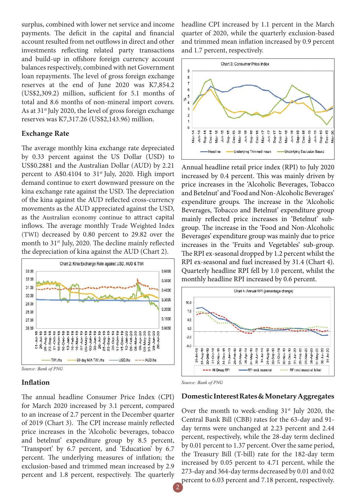surplus, combined with lower net service and income payments. The deficit in the capital and financial account resulted from net outflows in direct and other investments reflecting related party transactions and build-up in offshore foreign currency account balances respectively, combined with net Government loan repayments. The level of gross foreign exchange reserves at the end of June 2020 was K7,854.2  $(US$2,309.2)$  million, sufficient for 5.1 months of total and 8.6 months of non-mineral import covers. As at 31<sup>st</sup> July 2020, the level of gross foreign exchange reserves was K7,317.26 (US\$2,143.96) million.

#### **Exchange Rate**

The average monthly kina exchange rate depreciated by 0.33 percent against the US Dollar (USD) to US\$0.2881 and the Australian Dollar (AUD) by 2.21 percent to  $A$0.4104$  to  $31<sup>st</sup>$  July, 2020. High import demand continue to exert downward pressure on the kina exchange rate against the USD. The depreciation of the kina against the AUD reflected cross-currency movements as the AUD appreciated against the USD, as the Australian economy continue to attract capital inflows. The average monthly Trade Weighted Index (TWI) decreased by 0.80 percent to 29.82 over the month to  $31<sup>st</sup>$  July, 2020. The decline mainly reflected the depreciation of kina against the AUD (Chart 2).



*Source: Bank of PNG*

#### **Infl ation**

The annual headline Consumer Price Index (CPI) for March 2020 increased by 3.1 percent, compared to an increase of 2.7 percent in the December quarter of 2019 (Chart 3). The CPI increase mainly reflected price increases in the 'Alcoholic beverages, tobacco and betelnut' expenditure group by 8.5 percent, 'Transport' by 6.7 percent, and 'Education' by 6.7 percent. The underlying measures of inflation; the exclusion-based and trimmed mean increased by 2.9 percent and 1.8 percent, respectively. The quarterly

headline CPI increased by 1.1 percent in the March quarter of 2020, while the quarterly exclusion-based and trimmed mean inflation increased by 0.9 percent and 1.7 percent, respectively.



Annual headline retail price index (RPI) to July 2020 increased by 0.4 percent. This was mainly driven by price increases in the 'Alcoholic Beverages, Tobacco and Betelnut' and 'Food and Non-Alcoholic Beverages' expenditure groups. The increase in the 'Alcoholic Beverages, Tobacco and Betelnut' expenditure group mainly reflected price increases in 'Betelnut' subgroup. The increase in the 'Food and Non-Alcoholic Beverages' expenditure group was mainly due to price increases in the 'Fruits and Vegetables' sub-group. The RPI ex-seasonal dropped by 1.2 percent whilst the RPI ex-seasonal and fuel increased by 31.4 (Chart 4). Quarterly headline RPI fell by 1.0 percent, whilst the monthly headline RPI increased by 0.6 percent.





### **Domestic Interest Rates & Monetary Aggregates**

Over the month to week-ending  $31<sup>st</sup>$  July 2020, the Central Bank Bill (CBB) rates for the 63-day and 91 day terms were unchanged at 2.23 percent and 2.44 percent, respectively, while the 28-day term declined by 0.01 percent to 1.37 percent. Over the same period, the Treasury Bill (T-bill) rate for the 182-day term increased by 0.05 percent to 4.71 percent, while the 273-day and 364-day terms decreased by 0.01 and 0.02 percent to 6.03 percent and 7.18 percent, respectively.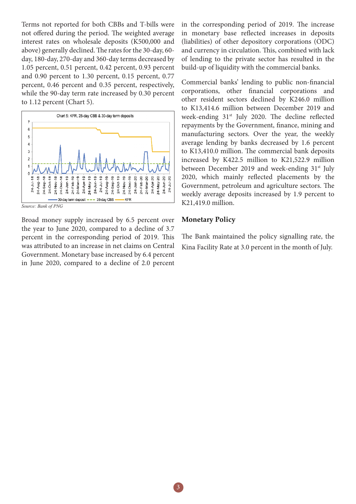Terms not reported for both CBBs and T-bills were not offered during the period. The weighted average interest rates on wholesale deposits (K500,000 and above) generally declined. The rates for the 30-day, 60day, 180-day, 270-day and 360-day terms decreased by 1.05 percent, 0.51 percent, 0.42 percent, 0.93 percent and 0.90 percent to 1.30 percent, 0.15 percent, 0.77 percent, 0.46 percent and 0.35 percent, respectively, while the 90-day term rate increased by 0.30 percent to 1.12 percent (Chart 5).



*Source: Bank of PNG*

Broad money supply increased by 6.5 percent over the year to June 2020, compared to a decline of 3.7 percent in the corresponding period of 2019. This was attributed to an increase in net claims on Central Government. Monetary base increased by 6.4 percent in June 2020, compared to a decline of 2.0 percent in the corresponding period of 2019. The increase in monetary base reflected increases in deposits (liabilities) of other depository corporations (ODC) and currency in circulation. This, combined with lack of lending to the private sector has resulted in the build-up of liquidity with the commercial banks.

Commercial banks' lending to public non-financial corporations, other financial corporations and other resident sectors declined by K246.0 million to K13,414.6 million between December 2019 and week-ending  $31<sup>st</sup>$  July 2020. The decline reflected repayments by the Government, finance, mining and manufacturing sectors. Over the year, the weekly average lending by banks decreased by 1.6 percent to K13,410.0 million. The commercial bank deposits increased by K422.5 million to K21,522.9 million between December 2019 and week-ending 31<sup>st</sup> July 2020, which mainly reflected placements by the Government, petroleum and agriculture sectors. The weekly average deposits increased by 1.9 percent to K21,419.0 million.

#### **Monetary Policy**

The Bank maintained the policy signalling rate, the Kina Facility Rate at 3.0 percent in the month of July.